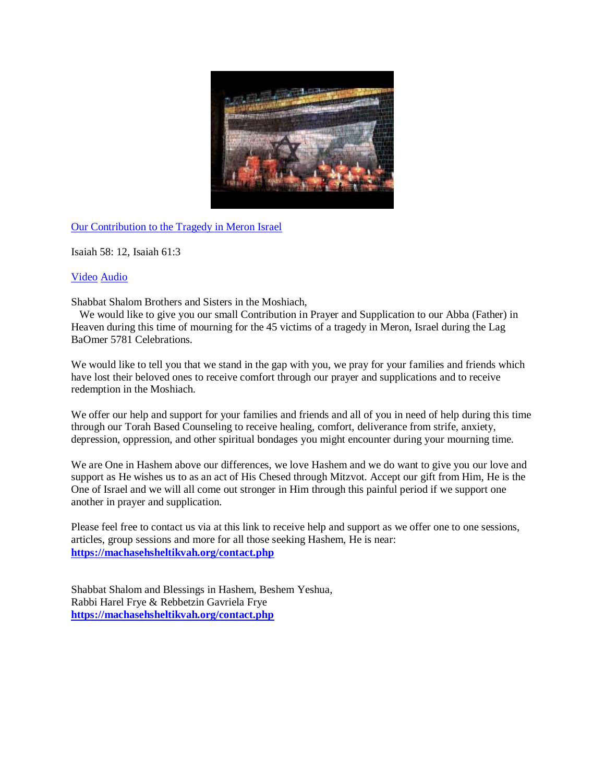

[Our Contribution to the Tragedy in Meron Israel](https://www.youtube.com/watch?v=Cqh7MFsLDvI)

Isaiah 58: 12, Isaiah 61:3

## [Video](https://www.youtube.com/watch?v=Cqh7MFsLDvI) [Audio](https://soundcloud.com/user-114005263/our-contribution-to-the-tragedy-in-meron-israel)

Shabbat Shalom Brothers and Sisters in the Moshiach,

 We would like to give you our small Contribution in Prayer and Supplication to our Abba (Father) in Heaven during this time of mourning for the 45 victims of a tragedy in Meron, Israel during the Lag BaOmer 5781 Celebrations.

We would like to tell you that we stand in the gap with you, we pray for your families and friends which have lost their beloved ones to receive comfort through our prayer and supplications and to receive redemption in the Moshiach.

We offer our help and support for your families and friends and all of you in need of help during this time through our Torah Based Counseling to receive healing, comfort, deliverance from strife, anxiety, depression, oppression, and other spiritual bondages you might encounter during your mourning time.

We are One in Hashem above our differences, we love Hashem and we do want to give you our love and support as He wishes us to as an act of His Chesed through Mitzvot. Accept our gift from Him, He is the One of Israel and we will all come out stronger in Him through this painful period if we support one another in prayer and supplication.

Please feel free to contact us via at this link to receive help and support as we offer one to one sessions, articles, group sessions and more for all those seeking Hashem, He is near: **<https://machasehsheltikvah.org/contact.php>**

Shabbat Shalom and Blessings in Hashem, Beshem Yeshua, Rabbi Harel Frye & Rebbetzin Gavriela Frye **<https://machasehsheltikvah.org/contact.php>**